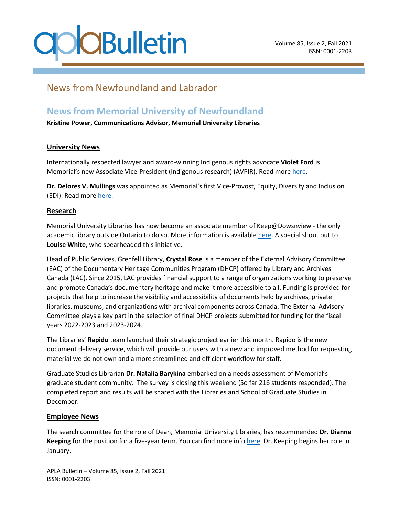## **CBulletin**

### News from Newfoundland and Labrador

### **News from Memorial University of Newfoundland**

**Kristine Power, Communications Advisor, Memorial University Libraries**

#### **University News**

Internationally respected lawyer and award-winning Indigenous rights advocate **Violet Ford** is Memorial's new Associate Vice-President (Indigenous research) (AVPIR). Read mor[e here.](https://gazette.mun.ca/research/unwavering-commitment/)

**Dr. Delores V. Mullings** was appointed as Memorial's first Vice-Provost, Equity, Diversity and Inclusion (EDI). Read more [here.](https://gazette.mun.ca/teaching-and-learning/leadership-appointment/#:~:text=25%2C%202021-,Dr.,diversity%20and%20inclusion%20(EDI))

#### **Research**

Memorial University Libraries has now become an associate member of Keep@Dowsnview - the only academic library outside Ontario to do so. More information is available [here.](https://www.library.mun.ca/aboutus/collections/Keep@Downsview/) A special shout out to **Louise White**, who spearheaded this initiative.

Head of Public Services, Grenfell Library, **Crystal Rose** is a member of the External Advisory Committee (EAC) of the [Documentary Heritage Communities Program \(DHCP\)](https://www.bac-lac.gc.ca/eng/services/documentary-heritage-communities-program/Pages/dhcp.aspx) offered by Library and Archives Canada (LAC). Since 2015, LAC provides financial support to a range of organizations working to preserve and promote Canada's documentary heritage and make it more accessible to all. Funding is provided for projects that help to increase the visibility and accessibility of documents held by archives, private libraries, museums, and organizations with archival components across Canada. The External Advisory Committee plays a key part in the selection of final DHCP projects submitted for funding for the fiscal years 2022-2023 and 2023-2024.

The Libraries' **Rapido** team launched their strategic project earlier this month. Rapido is the new document delivery service, which will provide our users with a new and improved method for requesting material we do not own and a more streamlined and efficient workflow for staff.

Graduate Studies Librarian **Dr. Natalia Barykina** embarked on a needs assessment of Memorial's graduate student community. The survey is closing this weekend (So far 216 students responded). The completed report and results will be shared with the Libraries and School of Graduate Studies in December.

#### **Employee News**

The search committee for the role of Dean, Memorial University Libraries, has recommended **Dr. Dianne Keeping** for the position for a five-year term. You can find more info [here.](https://gazette.mun.ca/teaching-and-learning/dean-appointed-8/) Dr. Keeping begins her role in January.

APLA Bulletin – Volume 85, Issue 2, Fall 2021 ISSN: 0001-2203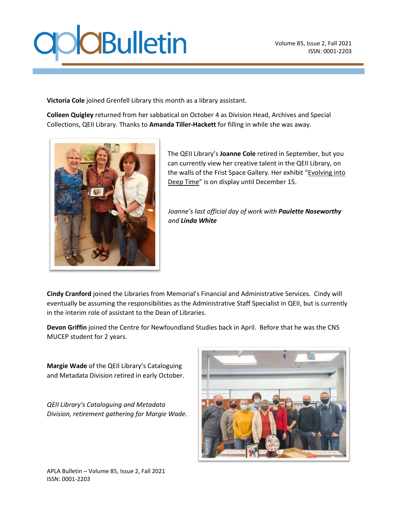## **O**CBulletin

**Victoria Cole** joined Grenfell Library this month as a library assistant.

**Colleen Quigley** returned from her sabbatical on October 4 as Division Head, Archives and Special Collections, QEII Library. Thanks to **Amanda Tiller-Hackett** for filling in while she was away.



The QEII Library's **Joanne Cole** retired in September, but you can currently view her creative talent in the QEII Library, on the walls of the Frist Space Gallery. Her exhibit "[Evolving into](https://www.library.mun.ca/news/FirstSpaceGallery.html)  [Deep Time](https://www.library.mun.ca/news/FirstSpaceGallery.html)" is on display until December 15.

*Joanne's last official day of work with Paulette Noseworthy and Linda White*

**Cindy Cranford** joined the Libraries from Memorial's Financial and Administrative Services. Cindy will eventually be assuming the responsibilities as the Administrative Staff Specialist in QEII, but is currently in the interim role of assistant to the Dean of Libraries.

**Devon Griffin** joined the Centre for Newfoundland Studies back in April. Before that he was the CNS MUCEP student for 2 years.

**Margie Wade** of the QEII Library's Cataloguing and Metadata Division retired in early October.

*QEII Library's Cataloguing and Metadata Division, retirement gathering for Margie Wade.*